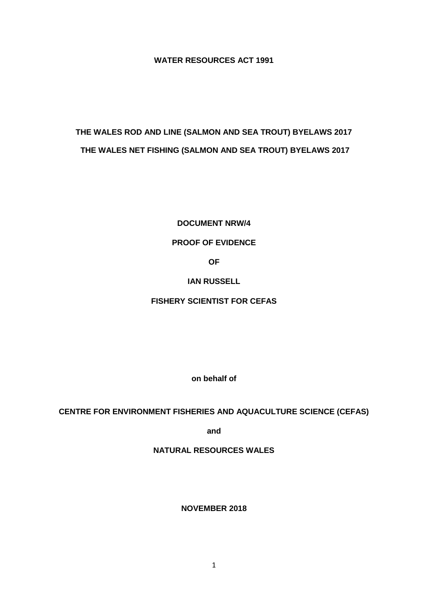# **WATER RESOURCES ACT 1991**

# **THE WALES ROD AND LINE (SALMON AND SEA TROUT) BYELAWS 2017 THE WALES NET FISHING (SALMON AND SEA TROUT) BYELAWS 2017**

**DOCUMENT NRW/4**

## **PROOF OF EVIDENCE**

**OF**

## **IAN RUSSELL**

# **FISHERY SCIENTIST FOR CEFAS**

**on behalf of**

## **CENTRE FOR ENVIRONMENT FISHERIES AND AQUACULTURE SCIENCE (CEFAS)**

**and**

**NATURAL RESOURCES WALES**

**NOVEMBER 2018**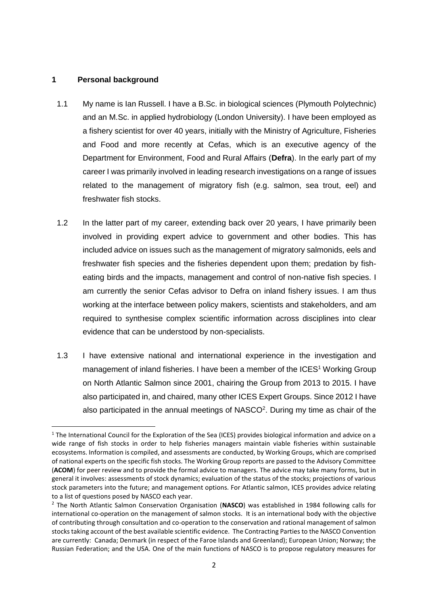#### **1 Personal background**

 $\overline{a}$ 

- 1.1 My name is Ian Russell. I have a B.Sc. in biological sciences (Plymouth Polytechnic) and an M.Sc. in applied hydrobiology (London University). I have been employed as a fishery scientist for over 40 years, initially with the Ministry of Agriculture, Fisheries and Food and more recently at Cefas, which is an executive agency of the Department for Environment, Food and Rural Affairs (**Defra**). In the early part of my career I was primarily involved in leading research investigations on a range of issues related to the management of migratory fish (e.g. salmon, sea trout, eel) and freshwater fish stocks.
- 1.2 In the latter part of my career, extending back over 20 years, I have primarily been involved in providing expert advice to government and other bodies. This has included advice on issues such as the management of migratory salmonids, eels and freshwater fish species and the fisheries dependent upon them; predation by fisheating birds and the impacts, management and control of non-native fish species. I am currently the senior Cefas advisor to Defra on inland fishery issues. I am thus working at the interface between policy makers, scientists and stakeholders, and am required to synthesise complex scientific information across disciplines into clear evidence that can be understood by non-specialists.
- 1.3 I have extensive national and international experience in the investigation and management of inland fisheries. I have been a member of the ICES<sup>1</sup> Working Group on North Atlantic Salmon since 2001, chairing the Group from 2013 to 2015. I have also participated in, and chaired, many other ICES Expert Groups. Since 2012 I have also participated in the annual meetings of  $NASCO<sup>2</sup>$ . During my time as chair of the

<sup>&</sup>lt;sup>1</sup> The International Council for the Exploration of the Sea (ICES) provides biological information and advice on a wide range of fish stocks in order to help fisheries managers maintain viable fisheries within sustainable ecosystems. Information is compiled, and assessments are conducted, by Working Groups, which are comprised of national experts on the specific fish stocks. The Working Group reports are passed to the Advisory Committee (**ACOM**) for peer review and to provide the formal advice to managers. The advice may take many forms, but in general it involves: assessments of stock dynamics; evaluation of the status of the stocks; projections of various stock parameters into the future; and management options. For Atlantic salmon, ICES provides advice relating to a list of questions posed by NASCO each year.

<sup>2</sup> The North Atlantic Salmon Conservation Organisation (**NASCO**) was established in 1984 following calls for international co-operation on the management of salmon stocks. It is an international body with the objective of contributing through consultation and co-operation to the conservation and rational management of salmon stocks taking account of the best available scientific evidence. The Contracting Parties to the NASCO Convention are currently: Canada; Denmark (in respect of the Faroe Islands and Greenland); European Union; Norway; the Russian Federation; and the USA. One of the main functions of NASCO is to propose regulatory measures for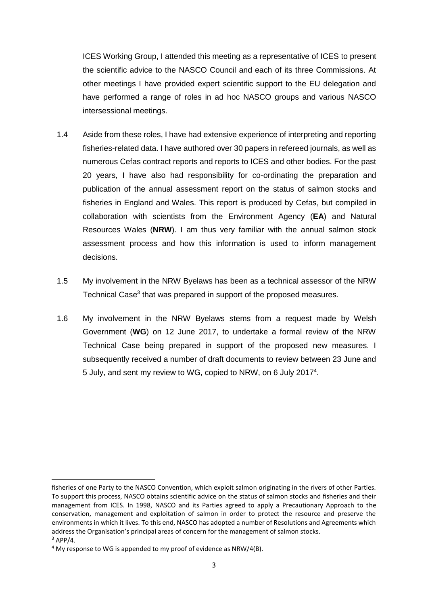ICES Working Group, I attended this meeting as a representative of ICES to present the scientific advice to the NASCO Council and each of its three Commissions. At other meetings I have provided expert scientific support to the EU delegation and have performed a range of roles in ad hoc NASCO groups and various NASCO intersessional meetings.

- 1.4 Aside from these roles, I have had extensive experience of interpreting and reporting fisheries-related data. I have authored over 30 papers in refereed journals, as well as numerous Cefas contract reports and reports to ICES and other bodies. For the past 20 years, I have also had responsibility for co-ordinating the preparation and publication of the annual assessment report on the status of salmon stocks and fisheries in England and Wales. This report is produced by Cefas, but compiled in collaboration with scientists from the Environment Agency (**EA**) and Natural Resources Wales (**NRW**). I am thus very familiar with the annual salmon stock assessment process and how this information is used to inform management decisions.
- 1.5 My involvement in the NRW Byelaws has been as a technical assessor of the NRW Technical Case<sup>3</sup> that was prepared in support of the proposed measures.
- 1.6 My involvement in the NRW Byelaws stems from a request made by Welsh Government (**WG**) on 12 June 2017, to undertake a formal review of the NRW Technical Case being prepared in support of the proposed new measures. I subsequently received a number of draft documents to review between 23 June and 5 July, and sent my review to WG, copied to NRW, on 6 July 2017<sup>4</sup>.

fisheries of one Party to the NASCO Convention, which exploit salmon originating in the rivers of other Parties. To support this process, NASCO obtains scientific advice on the status of salmon stocks and fisheries and their management from ICES. In 1998, NASCO and its Parties agreed to apply a Precautionary Approach to the conservation, management and exploitation of salmon in order to protect the resource and preserve the environments in which it lives. To this end, NASCO has adopted a number of Resolutions and Agreements which address the Organisation's principal areas of concern for the management of salmon stocks.  $3$  APP/4.

<sup>4</sup> My response to WG is appended to my proof of evidence as NRW/4(B).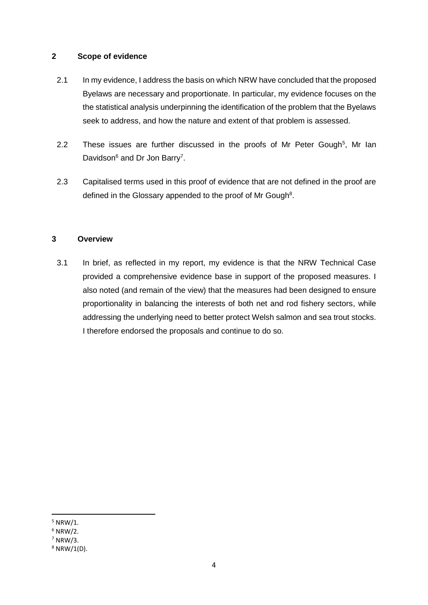#### **2 Scope of evidence**

- 2.1 In my evidence, I address the basis on which NRW have concluded that the proposed Byelaws are necessary and proportionate. In particular, my evidence focuses on the the statistical analysis underpinning the identification of the problem that the Byelaws seek to address, and how the nature and extent of that problem is assessed.
- 2.2 These issues are further discussed in the proofs of Mr Peter Gough<sup>5</sup>, Mr Ian Davidson<sup>6</sup> and Dr Jon Barry<sup>7</sup>.
- 2.3 Capitalised terms used in this proof of evidence that are not defined in the proof are defined in the Glossary appended to the proof of Mr Gough<sup>8</sup>.

#### **3 Overview**

3.1 In brief, as reflected in my report, my evidence is that the NRW Technical Case provided a comprehensive evidence base in support of the proposed measures. I also noted (and remain of the view) that the measures had been designed to ensure proportionality in balancing the interests of both net and rod fishery sectors, while addressing the underlying need to better protect Welsh salmon and sea trout stocks. I therefore endorsed the proposals and continue to do so.

 $5$  NRW/1.

 $6$  NRW/2.

 $7$  NRW/3.

<sup>8</sup> NRW/1(D).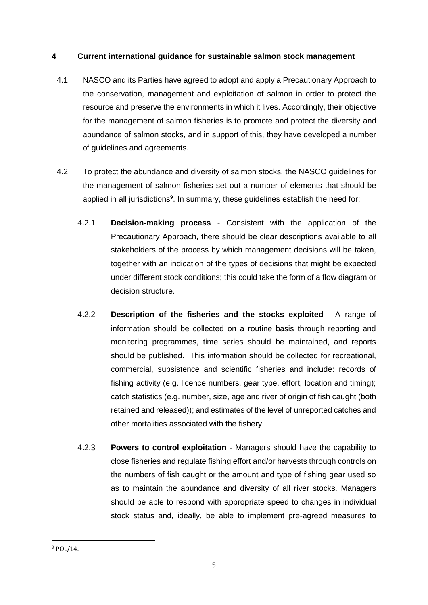## **4 Current international guidance for sustainable salmon stock management**

- 4.1 NASCO and its Parties have agreed to adopt and apply a Precautionary Approach to the conservation, management and exploitation of salmon in order to protect the resource and preserve the environments in which it lives. Accordingly, their objective for the management of salmon fisheries is to promote and protect the diversity and abundance of salmon stocks, and in support of this, they have developed a number of guidelines and agreements.
- 4.2 To protect the abundance and diversity of salmon stocks, the NASCO guidelines for the management of salmon fisheries set out a number of elements that should be applied in all jurisdictions<sup>9</sup>. In summary, these guidelines establish the need for:
	- 4.2.1 **Decision-making process** Consistent with the application of the Precautionary Approach, there should be clear descriptions available to all stakeholders of the process by which management decisions will be taken, together with an indication of the types of decisions that might be expected under different stock conditions; this could take the form of a flow diagram or decision structure.
	- 4.2.2 **Description of the fisheries and the stocks exploited** A range of information should be collected on a routine basis through reporting and monitoring programmes, time series should be maintained, and reports should be published. This information should be collected for recreational, commercial, subsistence and scientific fisheries and include: records of fishing activity (e.g. licence numbers, gear type, effort, location and timing); catch statistics (e.g. number, size, age and river of origin of fish caught (both retained and released)); and estimates of the level of unreported catches and other mortalities associated with the fishery.
	- 4.2.3 **Powers to control exploitation** Managers should have the capability to close fisheries and regulate fishing effort and/or harvests through controls on the numbers of fish caught or the amount and type of fishing gear used so as to maintain the abundance and diversity of all river stocks. Managers should be able to respond with appropriate speed to changes in individual stock status and, ideally, be able to implement pre-agreed measures to

**<sup>.</sup>**  $9$  POL/14.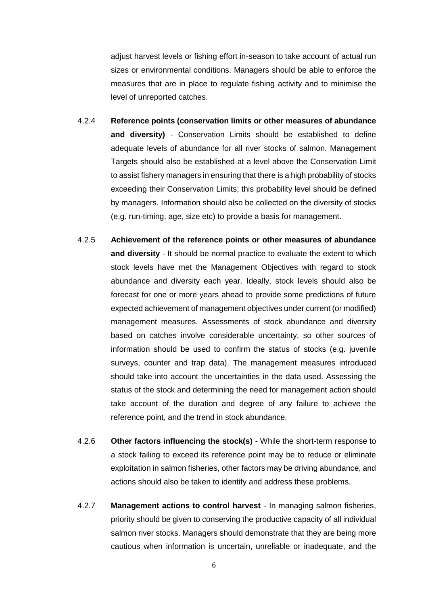adjust harvest levels or fishing effort in-season to take account of actual run sizes or environmental conditions. Managers should be able to enforce the measures that are in place to regulate fishing activity and to minimise the level of unreported catches.

- 4.2.4 **Reference points (conservation limits or other measures of abundance and diversity)** - Conservation Limits should be established to define adequate levels of abundance for all river stocks of salmon. Management Targets should also be established at a level above the Conservation Limit to assist fishery managers in ensuring that there is a high probability of stocks exceeding their Conservation Limits; this probability level should be defined by managers. Information should also be collected on the diversity of stocks (e.g. run-timing, age, size etc) to provide a basis for management.
- 4.2.5 **Achievement of the reference points or other measures of abundance and diversity** - It should be normal practice to evaluate the extent to which stock levels have met the Management Objectives with regard to stock abundance and diversity each year. Ideally, stock levels should also be forecast for one or more years ahead to provide some predictions of future expected achievement of management objectives under current (or modified) management measures. Assessments of stock abundance and diversity based on catches involve considerable uncertainty, so other sources of information should be used to confirm the status of stocks (e.g. juvenile surveys, counter and trap data). The management measures introduced should take into account the uncertainties in the data used. Assessing the status of the stock and determining the need for management action should take account of the duration and degree of any failure to achieve the reference point, and the trend in stock abundance.
- 4.2.6 **Other factors influencing the stock(s)** While the short-term response to a stock failing to exceed its reference point may be to reduce or eliminate exploitation in salmon fisheries, other factors may be driving abundance, and actions should also be taken to identify and address these problems.
- 4.2.7 **Management actions to control harvest** In managing salmon fisheries, priority should be given to conserving the productive capacity of all individual salmon river stocks. Managers should demonstrate that they are being more cautious when information is uncertain, unreliable or inadequate, and the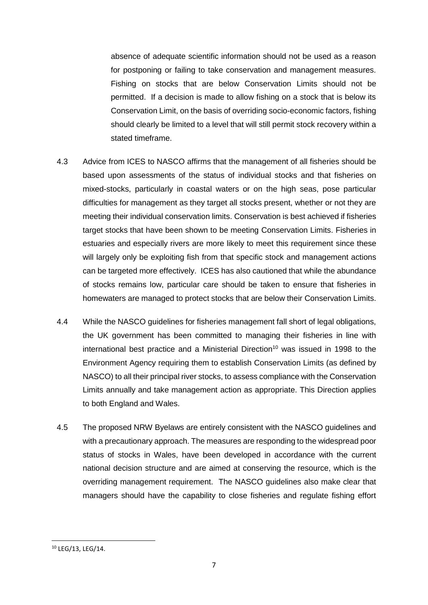absence of adequate scientific information should not be used as a reason for postponing or failing to take conservation and management measures. Fishing on stocks that are below Conservation Limits should not be permitted. If a decision is made to allow fishing on a stock that is below its Conservation Limit, on the basis of overriding socio-economic factors, fishing should clearly be limited to a level that will still permit stock recovery within a stated timeframe.

- 4.3 Advice from ICES to NASCO affirms that the management of all fisheries should be based upon assessments of the status of individual stocks and that fisheries on mixed-stocks, particularly in coastal waters or on the high seas, pose particular difficulties for management as they target all stocks present, whether or not they are meeting their individual conservation limits. Conservation is best achieved if fisheries target stocks that have been shown to be meeting Conservation Limits. Fisheries in estuaries and especially rivers are more likely to meet this requirement since these will largely only be exploiting fish from that specific stock and management actions can be targeted more effectively. ICES has also cautioned that while the abundance of stocks remains low, particular care should be taken to ensure that fisheries in homewaters are managed to protect stocks that are below their Conservation Limits.
- 4.4 While the NASCO guidelines for fisheries management fall short of legal obligations, the UK government has been committed to managing their fisheries in line with international best practice and a Ministerial Direction<sup>10</sup> was issued in 1998 to the Environment Agency requiring them to establish Conservation Limits (as defined by NASCO) to all their principal river stocks, to assess compliance with the Conservation Limits annually and take management action as appropriate. This Direction applies to both England and Wales.
- 4.5 The proposed NRW Byelaws are entirely consistent with the NASCO guidelines and with a precautionary approach. The measures are responding to the widespread poor status of stocks in Wales, have been developed in accordance with the current national decision structure and are aimed at conserving the resource, which is the overriding management requirement. The NASCO guidelines also make clear that managers should have the capability to close fisheries and regulate fishing effort

<sup>10</sup> LEG/13, LEG/14.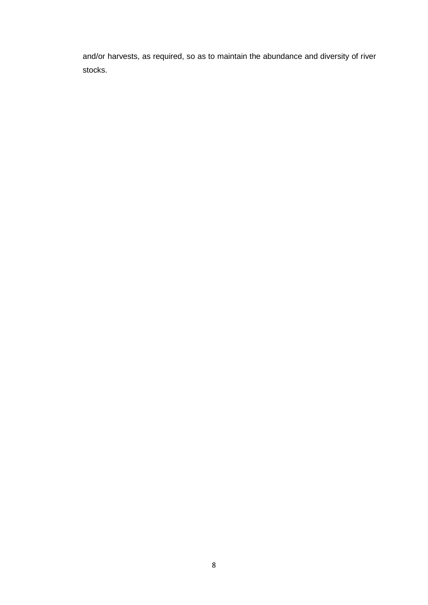and/or harvests, as required, so as to maintain the abundance and diversity of river stocks.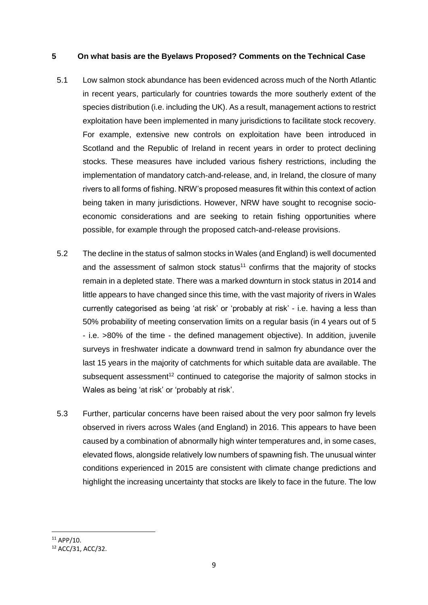#### **5 On what basis are the Byelaws Proposed? Comments on the Technical Case**

- 5.1 Low salmon stock abundance has been evidenced across much of the North Atlantic in recent years, particularly for countries towards the more southerly extent of the species distribution (i.e. including the UK). As a result, management actions to restrict exploitation have been implemented in many jurisdictions to facilitate stock recovery. For example, extensive new controls on exploitation have been introduced in Scotland and the Republic of Ireland in recent years in order to protect declining stocks. These measures have included various fishery restrictions, including the implementation of mandatory catch-and-release, and, in Ireland, the closure of many rivers to all forms of fishing. NRW's proposed measures fit within this context of action being taken in many jurisdictions. However, NRW have sought to recognise socioeconomic considerations and are seeking to retain fishing opportunities where possible, for example through the proposed catch-and-release provisions.
- 5.2 The decline in the status of salmon stocks in Wales (and England) is well documented and the assessment of salmon stock status<sup>11</sup> confirms that the majority of stocks remain in a depleted state. There was a marked downturn in stock status in 2014 and little appears to have changed since this time, with the vast majority of rivers in Wales currently categorised as being 'at risk' or 'probably at risk' - i.e. having a less than 50% probability of meeting conservation limits on a regular basis (in 4 years out of 5 - i.e. >80% of the time - the defined management objective). In addition, juvenile surveys in freshwater indicate a downward trend in salmon fry abundance over the last 15 years in the majority of catchments for which suitable data are available. The subsequent assessment<sup>12</sup> continued to categorise the majority of salmon stocks in Wales as being 'at risk' or 'probably at risk'.
- 5.3 Further, particular concerns have been raised about the very poor salmon fry levels observed in rivers across Wales (and England) in 2016. This appears to have been caused by a combination of abnormally high winter temperatures and, in some cases, elevated flows, alongside relatively low numbers of spawning fish. The unusual winter conditions experienced in 2015 are consistent with climate change predictions and highlight the increasing uncertainty that stocks are likely to face in the future. The low

**<sup>.</sup>**  $11$  APP/10.

<sup>12</sup> ACC/31, ACC/32.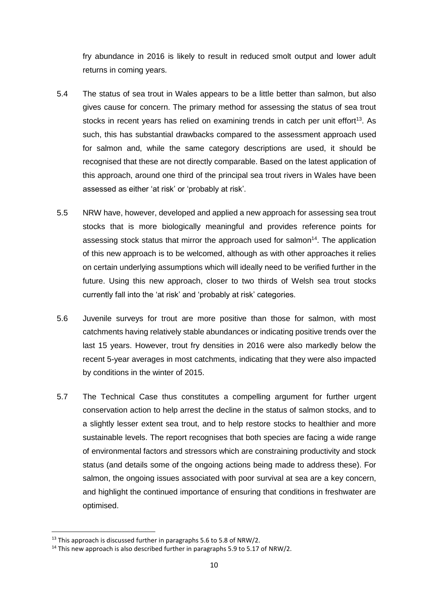fry abundance in 2016 is likely to result in reduced smolt output and lower adult returns in coming years.

- 5.4 The status of sea trout in Wales appears to be a little better than salmon, but also gives cause for concern. The primary method for assessing the status of sea trout stocks in recent years has relied on examining trends in catch per unit effort<sup>13</sup>. As such, this has substantial drawbacks compared to the assessment approach used for salmon and, while the same category descriptions are used, it should be recognised that these are not directly comparable. Based on the latest application of this approach, around one third of the principal sea trout rivers in Wales have been assessed as either 'at risk' or 'probably at risk'.
- 5.5 NRW have, however, developed and applied a new approach for assessing sea trout stocks that is more biologically meaningful and provides reference points for assessing stock status that mirror the approach used for salmon<sup>14</sup>. The application of this new approach is to be welcomed, although as with other approaches it relies on certain underlying assumptions which will ideally need to be verified further in the future. Using this new approach, closer to two thirds of Welsh sea trout stocks currently fall into the 'at risk' and 'probably at risk' categories.
- 5.6 Juvenile surveys for trout are more positive than those for salmon, with most catchments having relatively stable abundances or indicating positive trends over the last 15 years. However, trout fry densities in 2016 were also markedly below the recent 5-year averages in most catchments, indicating that they were also impacted by conditions in the winter of 2015.
- 5.7 The Technical Case thus constitutes a compelling argument for further urgent conservation action to help arrest the decline in the status of salmon stocks, and to a slightly lesser extent sea trout, and to help restore stocks to healthier and more sustainable levels. The report recognises that both species are facing a wide range of environmental factors and stressors which are constraining productivity and stock status (and details some of the ongoing actions being made to address these). For salmon, the ongoing issues associated with poor survival at sea are a key concern, and highlight the continued importance of ensuring that conditions in freshwater are optimised.

 $13$  This approach is discussed further in paragraphs 5.6 to 5.8 of NRW/2.

<sup>&</sup>lt;sup>14</sup> This new approach is also described further in paragraphs 5.9 to 5.17 of NRW/2.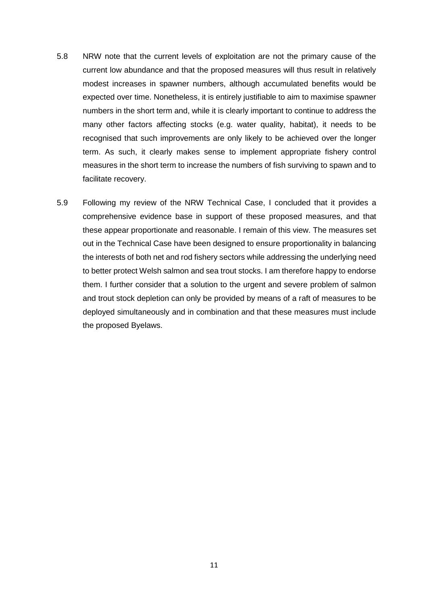- 5.8 NRW note that the current levels of exploitation are not the primary cause of the current low abundance and that the proposed measures will thus result in relatively modest increases in spawner numbers, although accumulated benefits would be expected over time. Nonetheless, it is entirely justifiable to aim to maximise spawner numbers in the short term and, while it is clearly important to continue to address the many other factors affecting stocks (e.g. water quality, habitat), it needs to be recognised that such improvements are only likely to be achieved over the longer term. As such, it clearly makes sense to implement appropriate fishery control measures in the short term to increase the numbers of fish surviving to spawn and to facilitate recovery.
- 5.9 Following my review of the NRW Technical Case, I concluded that it provides a comprehensive evidence base in support of these proposed measures, and that these appear proportionate and reasonable. I remain of this view. The measures set out in the Technical Case have been designed to ensure proportionality in balancing the interests of both net and rod fishery sectors while addressing the underlying need to better protect Welsh salmon and sea trout stocks. I am therefore happy to endorse them. I further consider that a solution to the urgent and severe problem of salmon and trout stock depletion can only be provided by means of a raft of measures to be deployed simultaneously and in combination and that these measures must include the proposed Byelaws.